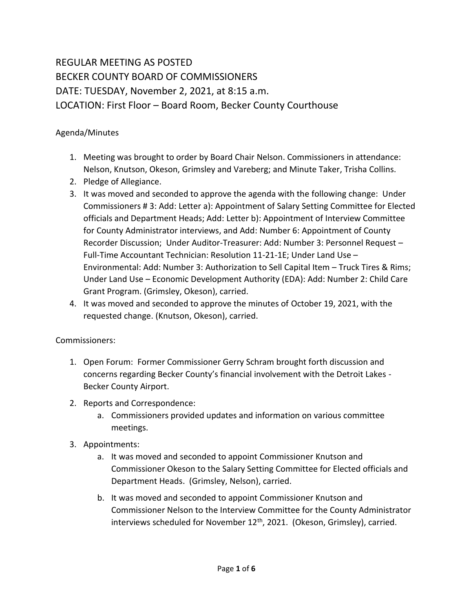## REGULAR MEETING AS POSTED BECKER COUNTY BOARD OF COMMISSIONERS DATE: TUESDAY, November 2, 2021, at 8:15 a.m. LOCATION: First Floor – Board Room, Becker County Courthouse

## Agenda/Minutes

- 1. Meeting was brought to order by Board Chair Nelson. Commissioners in attendance: Nelson, Knutson, Okeson, Grimsley and Vareberg; and Minute Taker, Trisha Collins.
- 2. Pledge of Allegiance.
- 3. It was moved and seconded to approve the agenda with the following change: Under Commissioners # 3: Add: Letter a): Appointment of Salary Setting Committee for Elected officials and Department Heads; Add: Letter b): Appointment of Interview Committee for County Administrator interviews, and Add: Number 6: Appointment of County Recorder Discussion; Under Auditor-Treasurer: Add: Number 3: Personnel Request – Full-Time Accountant Technician: Resolution 11-21-1E; Under Land Use – Environmental: Add: Number 3: Authorization to Sell Capital Item – Truck Tires & Rims; Under Land Use – Economic Development Authority (EDA): Add: Number 2: Child Care Grant Program. (Grimsley, Okeson), carried.
- 4. It was moved and seconded to approve the minutes of October 19, 2021, with the requested change. (Knutson, Okeson), carried.

## Commissioners:

- 1. Open Forum: Former Commissioner Gerry Schram brought forth discussion and concerns regarding Becker County's financial involvement with the Detroit Lakes - Becker County Airport.
- 2. Reports and Correspondence:
	- a. Commissioners provided updates and information on various committee meetings.
- 3. Appointments:
	- a. It was moved and seconded to appoint Commissioner Knutson and Commissioner Okeson to the Salary Setting Committee for Elected officials and Department Heads. (Grimsley, Nelson), carried.
	- b. It was moved and seconded to appoint Commissioner Knutson and Commissioner Nelson to the Interview Committee for the County Administrator interviews scheduled for November 12<sup>th</sup>, 2021. (Okeson, Grimsley), carried.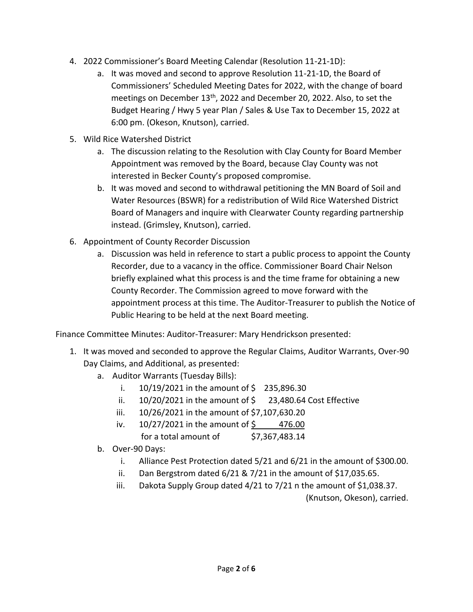- 4. 2022 Commissioner's Board Meeting Calendar (Resolution 11-21-1D):
	- a. It was moved and second to approve Resolution 11-21-1D, the Board of Commissioners' Scheduled Meeting Dates for 2022, with the change of board meetings on December 13<sup>th</sup>, 2022 and December 20, 2022. Also, to set the Budget Hearing / Hwy 5 year Plan / Sales & Use Tax to December 15, 2022 at 6:00 pm. (Okeson, Knutson), carried.
- 5. Wild Rice Watershed District
	- a. The discussion relating to the Resolution with Clay County for Board Member Appointment was removed by the Board, because Clay County was not interested in Becker County's proposed compromise.
	- b. It was moved and second to withdrawal petitioning the MN Board of Soil and Water Resources (BSWR) for a redistribution of Wild Rice Watershed District Board of Managers and inquire with Clearwater County regarding partnership instead. (Grimsley, Knutson), carried.
- 6. Appointment of County Recorder Discussion
	- a. Discussion was held in reference to start a public process to appoint the County Recorder, due to a vacancy in the office. Commissioner Board Chair Nelson briefly explained what this process is and the time frame for obtaining a new County Recorder. The Commission agreed to move forward with the appointment process at this time. The Auditor-Treasurer to publish the Notice of Public Hearing to be held at the next Board meeting.

Finance Committee Minutes: Auditor-Treasurer: Mary Hendrickson presented:

- 1. It was moved and seconded to approve the Regular Claims, Auditor Warrants, Over-90 Day Claims, and Additional, as presented:
	- a. Auditor Warrants (Tuesday Bills):
		- i.  $10/19/2021$  in the amount of \$ 235,896.30
		- ii.  $10/20/2021$  in the amount of  $\frac{23}{480.64}$  Cost Effective
		- iii. 10/26/2021 in the amount of \$7,107,630.20
		- iv.  $10/27/2021$  in the amount of  $\frac{2}{5}$  476.00 for a total amount of  $$7,367,483.14$
	- b. Over-90 Days:
		- i. Alliance Pest Protection dated 5/21 and 6/21 in the amount of \$300.00.
		- ii. Dan Bergstrom dated  $6/21$  &  $7/21$  in the amount of \$17,035.65.
		- iii. Dakota Supply Group dated 4/21 to 7/21 n the amount of \$1,038.37.

(Knutson, Okeson), carried.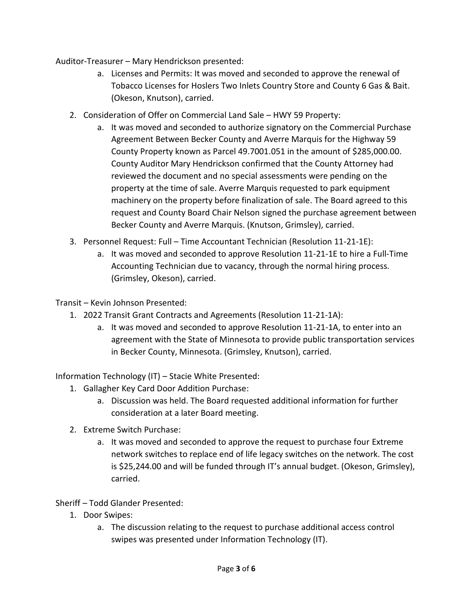Auditor-Treasurer – Mary Hendrickson presented:

- a. Licenses and Permits: It was moved and seconded to approve the renewal of Tobacco Licenses for Hoslers Two Inlets Country Store and County 6 Gas & Bait. (Okeson, Knutson), carried.
- 2. Consideration of Offer on Commercial Land Sale HWY 59 Property:
	- a. It was moved and seconded to authorize signatory on the Commercial Purchase Agreement Between Becker County and Averre Marquis for the Highway 59 County Property known as Parcel 49.7001.051 in the amount of \$285,000.00. County Auditor Mary Hendrickson confirmed that the County Attorney had reviewed the document and no special assessments were pending on the property at the time of sale. Averre Marquis requested to park equipment machinery on the property before finalization of sale. The Board agreed to this request and County Board Chair Nelson signed the purchase agreement between Becker County and Averre Marquis. (Knutson, Grimsley), carried.
- 3. Personnel Request: Full Time Accountant Technician (Resolution 11-21-1E):
	- a. It was moved and seconded to approve Resolution 11-21-1E to hire a Full-Time Accounting Technician due to vacancy, through the normal hiring process. (Grimsley, Okeson), carried.

Transit – Kevin Johnson Presented:

- 1. 2022 Transit Grant Contracts and Agreements (Resolution 11-21-1A):
	- a. It was moved and seconded to approve Resolution 11-21-1A, to enter into an agreement with the State of Minnesota to provide public transportation services in Becker County, Minnesota. (Grimsley, Knutson), carried.

Information Technology (IT) – Stacie White Presented:

- 1. Gallagher Key Card Door Addition Purchase:
	- a. Discussion was held. The Board requested additional information for further consideration at a later Board meeting.
- 2. Extreme Switch Purchase:
	- a. It was moved and seconded to approve the request to purchase four Extreme network switches to replace end of life legacy switches on the network. The cost is \$25,244.00 and will be funded through IT's annual budget. (Okeson, Grimsley), carried.

Sheriff – Todd Glander Presented:

- 1. Door Swipes:
	- a. The discussion relating to the request to purchase additional access control swipes was presented under Information Technology (IT).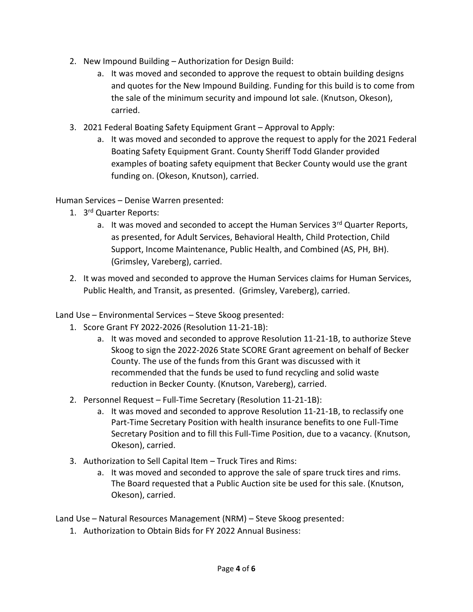- 2. New Impound Building Authorization for Design Build:
	- a. It was moved and seconded to approve the request to obtain building designs and quotes for the New Impound Building. Funding for this build is to come from the sale of the minimum security and impound lot sale. (Knutson, Okeson), carried.
- 3. 2021 Federal Boating Safety Equipment Grant Approval to Apply:
	- a. It was moved and seconded to approve the request to apply for the 2021 Federal Boating Safety Equipment Grant. County Sheriff Todd Glander provided examples of boating safety equipment that Becker County would use the grant funding on. (Okeson, Knutson), carried.

Human Services – Denise Warren presented:

- 1. 3<sup>rd</sup> Quarter Reports:
	- a. It was moved and seconded to accept the Human Services 3rd Quarter Reports, as presented, for Adult Services, Behavioral Health, Child Protection, Child Support, Income Maintenance, Public Health, and Combined (AS, PH, BH). (Grimsley, Vareberg), carried.
- 2. It was moved and seconded to approve the Human Services claims for Human Services, Public Health, and Transit, as presented. (Grimsley, Vareberg), carried.

Land Use – Environmental Services – Steve Skoog presented:

- 1. Score Grant FY 2022-2026 (Resolution 11-21-1B):
	- a. It was moved and seconded to approve Resolution 11-21-1B, to authorize Steve Skoog to sign the 2022-2026 State SCORE Grant agreement on behalf of Becker County. The use of the funds from this Grant was discussed with it recommended that the funds be used to fund recycling and solid waste reduction in Becker County. (Knutson, Vareberg), carried.
- 2. Personnel Request Full-Time Secretary (Resolution 11-21-1B):
	- a. It was moved and seconded to approve Resolution 11-21-1B, to reclassify one Part-Time Secretary Position with health insurance benefits to one Full-Time Secretary Position and to fill this Full-Time Position, due to a vacancy. (Knutson, Okeson), carried.
- 3. Authorization to Sell Capital Item Truck Tires and Rims:
	- a. It was moved and seconded to approve the sale of spare truck tires and rims. The Board requested that a Public Auction site be used for this sale. (Knutson, Okeson), carried.

Land Use – Natural Resources Management (NRM) – Steve Skoog presented:

1. Authorization to Obtain Bids for FY 2022 Annual Business: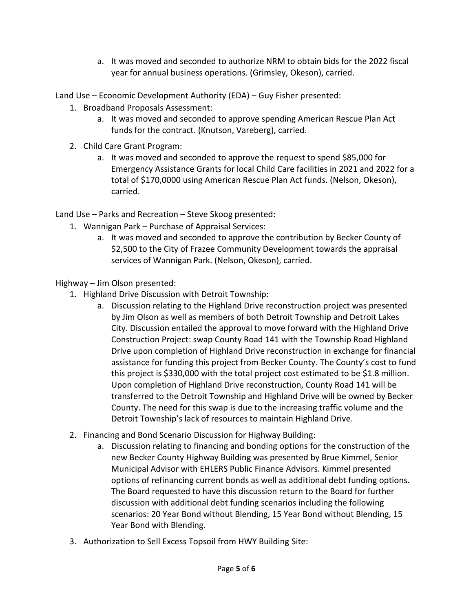a. It was moved and seconded to authorize NRM to obtain bids for the 2022 fiscal year for annual business operations. (Grimsley, Okeson), carried.

Land Use – Economic Development Authority (EDA) – Guy Fisher presented:

- 1. Broadband Proposals Assessment:
	- a. It was moved and seconded to approve spending American Rescue Plan Act funds for the contract. (Knutson, Vareberg), carried.
- 2. Child Care Grant Program:
	- a. It was moved and seconded to approve the request to spend \$85,000 for Emergency Assistance Grants for local Child Care facilities in 2021 and 2022 for a total of \$170,0000 using American Rescue Plan Act funds. (Nelson, Okeson), carried.

Land Use – Parks and Recreation – Steve Skoog presented:

- 1. Wannigan Park Purchase of Appraisal Services:
	- a. It was moved and seconded to approve the contribution by Becker County of \$2,500 to the City of Frazee Community Development towards the appraisal services of Wannigan Park. (Nelson, Okeson), carried.

Highway – Jim Olson presented:

- 1. Highland Drive Discussion with Detroit Township:
	- a. Discussion relating to the Highland Drive reconstruction project was presented by Jim Olson as well as members of both Detroit Township and Detroit Lakes City. Discussion entailed the approval to move forward with the Highland Drive Construction Project: swap County Road 141 with the Township Road Highland Drive upon completion of Highland Drive reconstruction in exchange for financial assistance for funding this project from Becker County. The County's cost to fund this project is \$330,000 with the total project cost estimated to be \$1.8 million. Upon completion of Highland Drive reconstruction, County Road 141 will be transferred to the Detroit Township and Highland Drive will be owned by Becker County. The need for this swap is due to the increasing traffic volume and the Detroit Township's lack of resources to maintain Highland Drive.
- 2. Financing and Bond Scenario Discussion for Highway Building:
	- a. Discussion relating to financing and bonding options for the construction of the new Becker County Highway Building was presented by Brue Kimmel, Senior Municipal Advisor with EHLERS Public Finance Advisors. Kimmel presented options of refinancing current bonds as well as additional debt funding options. The Board requested to have this discussion return to the Board for further discussion with additional debt funding scenarios including the following scenarios: 20 Year Bond without Blending, 15 Year Bond without Blending, 15 Year Bond with Blending.
- 3. Authorization to Sell Excess Topsoil from HWY Building Site: